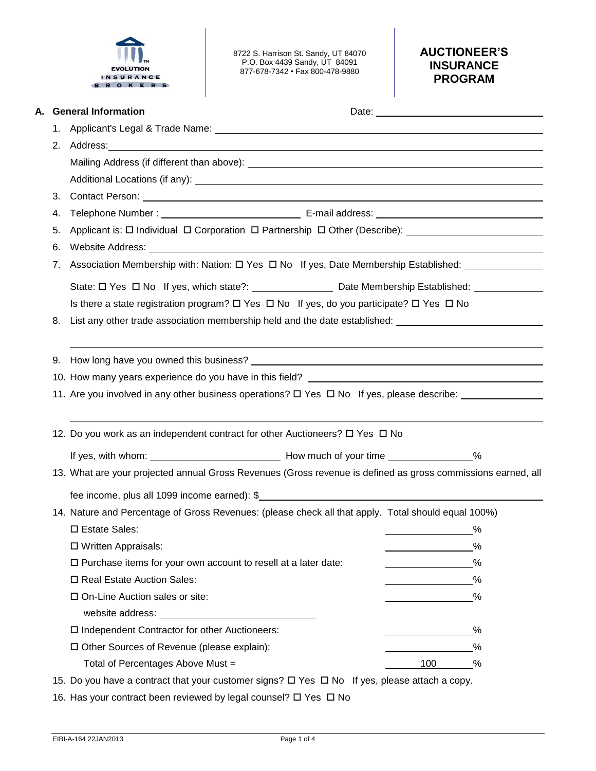

8722 S. Harrison St. Sandy, UT 84070 P.O. Box 4439 Sandy, UT 84091 877-678-7342 • Fax 800-478-9880

# **AUCTIONEER'S INSURANCE PROGRAM**

|    | A. General Information                                                                                                                                                                                                              |          |           |  |  |  |
|----|-------------------------------------------------------------------------------------------------------------------------------------------------------------------------------------------------------------------------------------|----------|-----------|--|--|--|
|    |                                                                                                                                                                                                                                     |          |           |  |  |  |
|    | 2. Address: 2008. Address: 2008. Address: 2008. Address: 2008. Address: 2008. Address: 2008. Address: 2008. Address: 2008. Address: 2008. Address: 2008. Address: 2008. Address: 2008. Address: 2008. Address: 2008. Address:       |          |           |  |  |  |
|    |                                                                                                                                                                                                                                     |          |           |  |  |  |
|    |                                                                                                                                                                                                                                     |          |           |  |  |  |
| 3. | Contact Person: <u>Contact Person:</u> Contact Person: Contact Person: Contact Person: Contact Person: Contact Person: Contact Person: Contact Person: Contact Person: Contact Person: Contact Person: Contact Person: Contact Pers |          |           |  |  |  |
| 4. |                                                                                                                                                                                                                                     |          |           |  |  |  |
| 5. | Applicant is: □ Individual □ Corporation □ Partnership □ Other (Describe): ________________________                                                                                                                                 |          |           |  |  |  |
| 6. | Website Address: New York Contract to the Address of the Address of the Address of the Address of the Address of the Address of the Address of the Address of the Address of the Address of the Address of the Address of the       |          |           |  |  |  |
| 7. |                                                                                                                                                                                                                                     |          |           |  |  |  |
|    |                                                                                                                                                                                                                                     |          |           |  |  |  |
|    | Is there a state registration program? $\Box$ Yes $\Box$ No If yes, do you participate? $\Box$ Yes $\Box$ No                                                                                                                        |          |           |  |  |  |
| 8. | List any other trade association membership held and the date established: _________________________                                                                                                                                |          |           |  |  |  |
|    |                                                                                                                                                                                                                                     |          |           |  |  |  |
|    | 9. How long have you owned this business? And the state of the state of the state of the state of the state of the state of the state of the state of the state of the state of the state of the state of the state of the sta      |          |           |  |  |  |
|    |                                                                                                                                                                                                                                     |          |           |  |  |  |
|    | 11. Are you involved in any other business operations? $\Box$ Yes $\Box$ No If yes, please describe:                                                                                                                                |          |           |  |  |  |
|    |                                                                                                                                                                                                                                     |          |           |  |  |  |
|    | 12. Do you work as an independent contract for other Auctioneers? □ Yes □ No                                                                                                                                                        |          |           |  |  |  |
|    |                                                                                                                                                                                                                                     |          |           |  |  |  |
|    | 13. What are your projected annual Gross Revenues (Gross revenue is defined as gross commissions earned, all                                                                                                                        |          |           |  |  |  |
|    | fee income, plus all 1099 income earned): $$$                                                                                                                                                                                       |          |           |  |  |  |
|    |                                                                                                                                                                                                                                     |          |           |  |  |  |
|    |                                                                                                                                                                                                                                     |          |           |  |  |  |
|    | 14. Nature and Percentage of Gross Revenues: (please check all that apply. Total should equal 100%)                                                                                                                                 |          |           |  |  |  |
|    | □ Estate Sales:                                                                                                                                                                                                                     | $\sim$ % |           |  |  |  |
|    | □ Written Appraisals:                                                                                                                                                                                                               |          | %         |  |  |  |
|    | $\square$ Purchase items for your own account to resell at a later date:                                                                                                                                                            |          | %         |  |  |  |
|    | □ Real Estate Auction Sales:                                                                                                                                                                                                        |          | $\%$      |  |  |  |
|    | □ On-Line Auction sales or site:                                                                                                                                                                                                    |          | %         |  |  |  |
|    |                                                                                                                                                                                                                                     |          |           |  |  |  |
|    | □ Independent Contractor for other Auctioneers:                                                                                                                                                                                     |          | %         |  |  |  |
|    | □ Other Sources of Revenue (please explain):<br>Total of Percentages Above Must =                                                                                                                                                   | 100      | %<br>$\%$ |  |  |  |

15. Do you have a contract that your customer signs?  $\Box$  Yes  $\Box$  No If yes, please attach a copy.

16. Has your contract been reviewed by legal counsel?  $\Box$  Yes  $\Box$  No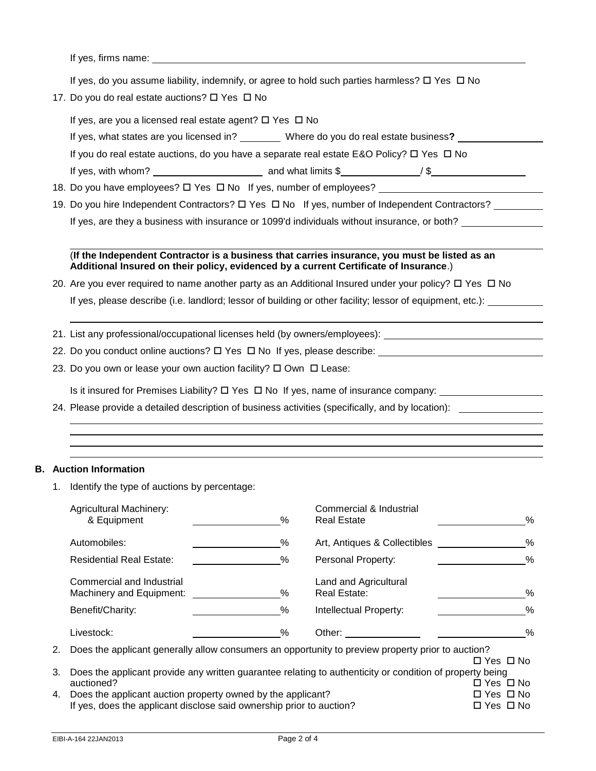If yes, firms name:

If yes, do you assume liability, indemnify, or agree to hold such parties harmless?  $\Box$  Yes  $\Box$  No

17. Do you do real estate auctions?  $\Box$  Yes  $\Box$  No

If yes, are you a licensed real estate agent?  $\Box$  Yes  $\Box$  No

If yes, what states are you licensed in? \_\_\_\_\_\_\_\_\_ Where do you do real estate business? \_\_\_\_\_\_\_\_\_\_\_\_\_\_\_\_\_\_\_\_ If you do real estate auctions, do you have a separate real estate E&O Policy?  $\Box$  Yes  $\Box$  No If yes, with whom? and what limits \$ / \$

- 18. Do you have employees?  $\Box$  Yes  $\Box$  No If yes, number of employees?
- 19. Do you hire Independent Contractors?  $\Box$  Yes  $\Box$  No If yes, number of Independent Contractors? If yes, are they a business with insurance or 1099'd individuals without insurance, or both?

## (**If the Independent Contractor is a business that carries insurance, you must be listed as an Additional Insured on their policy, evidenced by a current Certificate of Insurance**.)

- 20. Are you ever required to name another party as an Additional Insured under your policy?  $\Box$  Yes  $\Box$  No If yes, please describe (i.e. landlord; lessor of building or other facility; lessor of equipment, etc.):
- 21. List any professional/occupational licenses held (by owners/employees):
- 22. Do you conduct online auctions?  $\Box$  Yes  $\Box$  No If yes, please describe:
- 23. Do you own or lease your own auction facility?  $\Box$  Own  $\Box$  Lease:

Is it insured for Premises Liability?  $\Box$  Yes  $\Box$  No If yes, name of insurance company:  $\Box$ 

24. Please provide a detailed description of business activities (specifically, and by location):

## **B. Auction Information**

1. Identify the type of auctions by percentage:

|    | <b>Agricultural Machinery:</b><br>& Equipment                                                            | $\%$                                         | Commercial & Industrial<br><b>Real Estate</b>                                                     | %                    |
|----|----------------------------------------------------------------------------------------------------------|----------------------------------------------|---------------------------------------------------------------------------------------------------|----------------------|
|    | Automobiles:                                                                                             | %                                            | Art, Antiques & Collectibles                                                                      | %                    |
|    | <b>Residential Real Estate:</b>                                                                          | %                                            | Personal Property:                                                                                | %                    |
|    | Commercial and Industrial<br>Machinery and Equipment:                                                    | %                                            | Land and Agricultural<br><b>Real Estate:</b>                                                      | %                    |
|    | Benefit/Charity:                                                                                         | $\%$                                         | Intellectual Property:                                                                            | %                    |
|    | Livestock:                                                                                               | $\%$                                         | Other:                                                                                            | %                    |
| 2. |                                                                                                          |                                              | Does the applicant generally allow consumers an opportunity to preview property prior to auction? | $\Box$ Yes $\Box$ No |
| 3. | Does the applicant provide any written guarantee relating to authenticity or condition of property being |                                              |                                                                                                   |                      |
| 4. | auctioned?<br>Does the applicant auction property owned by the applicant?                                | $\Box$ Yes $\Box$ No<br>$\Box$ Yes $\Box$ No |                                                                                                   |                      |
|    |                                                                                                          |                                              |                                                                                                   |                      |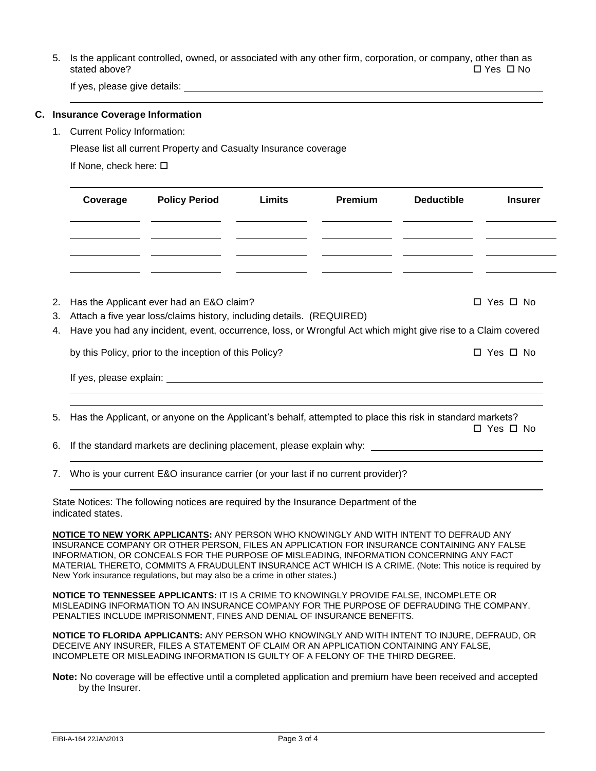5. Is the applicant controlled, owned, or associated with any other firm, corporation, or company, other than as stated above? Yes No

If yes, please give details:

#### **C. Insurance Coverage Information**

1. Current Policy Information:

Please list all current Property and Casualty Insurance coverage

If None, check here:

| Coverage | <b>Policy Period</b> | Limits | Premium | <b>Deductible</b> | <b>Insurer</b> |
|----------|----------------------|--------|---------|-------------------|----------------|
|          |                      |        |         |                   |                |
|          |                      |        |         |                   |                |

2. Has the Applicant ever had an E&O claim?  $\Box$  Yes  $\Box$  Yes  $\Box$  No

- 3. Attach a five year loss/claims history, including details. (REQUIRED)
- 4. Have you had any incident, event, occurrence, loss, or Wrongful Act which might give rise to a Claim covered

by this Policy, prior to the inception of this Policy? <br>
D Yes  $\Box$  No

If yes, please explain:

5. Has the Applicant, or anyone on the Applicant's behalf, attempted to place this risk in standard markets? □ Yes □ No

6. If the standard markets are declining placement, please explain why:

7. Who is your current E&O insurance carrier (or your last if no current provider)?

State Notices: The following notices are required by the Insurance Department of the indicated states.

**NOTICE TO NEW YORK APPLICANTS:** ANY PERSON WHO KNOWINGLY AND WITH INTENT TO DEFRAUD ANY INSURANCE COMPANY OR OTHER PERSON, FILES AN APPLICATION FOR INSURANCE CONTAINING ANY FALSE INFORMATION, OR CONCEALS FOR THE PURPOSE OF MISLEADING, INFORMATION CONCERNING ANY FACT MATERIAL THERETO, COMMITS A FRAUDULENT INSURANCE ACT WHICH IS A CRIME. (Note: This notice is required by New York insurance regulations, but may also be a crime in other states.)

**NOTICE TO TENNESSEE APPLICANTS:** IT IS A CRIME TO KNOWINGLY PROVIDE FALSE, INCOMPLETE OR MISLEADING INFORMATION TO AN INSURANCE COMPANY FOR THE PURPOSE OF DEFRAUDING THE COMPANY. PENALTIES INCLUDE IMPRISONMENT, FINES AND DENIAL OF INSURANCE BENEFITS.

**NOTICE TO FLORIDA APPLICANTS:** ANY PERSON WHO KNOWINGLY AND WITH INTENT TO INJURE, DEFRAUD, OR DECEIVE ANY INSURER, FILES A STATEMENT OF CLAIM OR AN APPLICATION CONTAINING ANY FALSE, INCOMPLETE OR MISLEADING INFORMATION IS GUILTY OF A FELONY OF THE THIRD DEGREE.

**Note:** No coverage will be effective until a completed application and premium have been received and accepted by the Insurer.